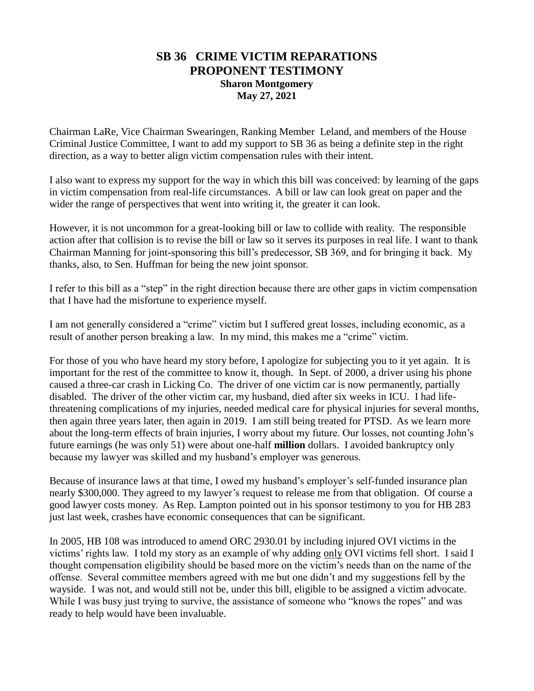## **SB 36 CRIME VICTIM REPARATIONS PROPONENT TESTIMONY Sharon Montgomery May 27, 2021**

Chairman LaRe, Vice Chairman Swearingen, Ranking Member Leland, and members of the House Criminal Justice Committee, I want to add my support to SB 36 as being a definite step in the right direction, as a way to better align victim compensation rules with their intent.

I also want to express my support for the way in which this bill was conceived: by learning of the gaps in victim compensation from real-life circumstances. A bill or law can look great on paper and the wider the range of perspectives that went into writing it, the greater it can look.

However, it is not uncommon for a great-looking bill or law to collide with reality. The responsible action after that collision is to revise the bill or law so it serves its purposes in real life. I want to thank Chairman Manning for joint-sponsoring this bill's predecessor, SB 369, and for bringing it back. My thanks, also, to Sen. Huffman for being the new joint sponsor.

I refer to this bill as a "step" in the right direction because there are other gaps in victim compensation that I have had the misfortune to experience myself.

I am not generally considered a "crime" victim but I suffered great losses, including economic, as a result of another person breaking a law. In my mind, this makes me a "crime" victim.

For those of you who have heard my story before, I apologize for subjecting you to it yet again. It is important for the rest of the committee to know it, though. In Sept. of 2000, a driver using his phone caused a three-car crash in Licking Co. The driver of one victim car is now permanently, partially disabled. The driver of the other victim car, my husband, died after six weeks in ICU. I had lifethreatening complications of my injuries, needed medical care for physical injuries for several months, then again three years later, then again in 2019. I am still being treated for PTSD. As we learn more about the long-term effects of brain injuries, I worry about my future. Our losses, not counting John's future earnings (he was only 51) were about one-half **million** dollars. I avoided bankruptcy only because my lawyer was skilled and my husband's employer was generous.

Because of insurance laws at that time, I owed my husband's employer's self-funded insurance plan nearly \$300,000. They agreed to my lawyer's request to release me from that obligation. Of course a good lawyer costs money. As Rep. Lampton pointed out in his sponsor testimony to you for HB 283 just last week, crashes have economic consequences that can be significant.

In 2005, HB 108 was introduced to amend ORC 2930.01 by including injured OVI victims in the victims' rights law. I told my story as an example of why adding only OVI victims fell short. I said I thought compensation eligibility should be based more on the victim's needs than on the name of the offense. Several committee members agreed with me but one didn't and my suggestions fell by the wayside. I was not, and would still not be, under this bill, eligible to be assigned a victim advocate. While I was busy just trying to survive, the assistance of someone who "knows the ropes" and was ready to help would have been invaluable.